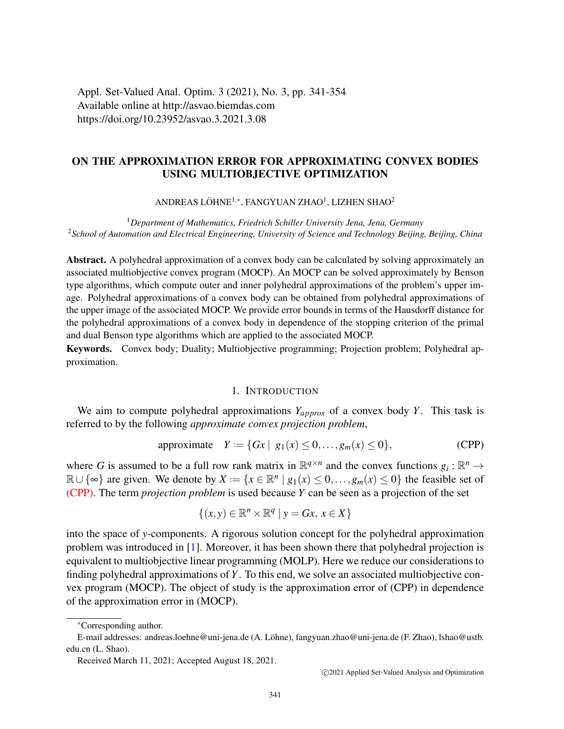Appl. Set-Valued Anal. Optim. 3 (2021), No. 3, pp. 341-354 Available online at http://asvao.biemdas.com https://doi.org/10.23952/asvao.3.2021.3.08

# ON THE APPROXIMATION ERROR FOR APPROXIMATING CONVEX BODIES USING MULTIOBJECTIVE OPTIMIZATION

ANDREAS LÖHNE $^{1,*}$ , FANGYUAN ZHAO $^{1}$ , LIZHEN SHAO $^{2}$ 

<sup>1</sup>*Department of Mathematics, Friedrich Schiller University Jena, Jena, Germany* <sup>2</sup>*School of Automation and Electrical Engineering, University of Science and Technology Beijing, Beijing, China*

Abstract. A polyhedral approximation of a convex body can be calculated by solving approximately an associated multiobjective convex program (MOCP). An MOCP can be solved approximately by Benson type algorithms, which compute outer and inner polyhedral approximations of the problem's upper image. Polyhedral approximations of a convex body can be obtained from polyhedral approximations of the upper image of the associated MOCP. We provide error bounds in terms of the Hausdorff distance for the polyhedral approximations of a convex body in dependence of the stopping criterion of the primal and dual Benson type algorithms which are applied to the associated MOCP.

Keywords. Convex body; Duality; Multiobjective programming; Projection problem; Polyhedral approximation.

## <span id="page-0-0"></span>1. INTRODUCTION

We aim to compute polyhedral approximations  $Y_{approx}$  of a convex body *Y*. This task is referred to by the following *approximate convex projection problem*,

approximate 
$$
Y := \{Gx \mid g_1(x) \le 0, \ldots, g_m(x) \le 0\},
$$
 (CPP)

where G is assumed to be a full row rank matrix in  $\mathbb{R}^{q \times n}$  and the convex functions  $g_i : \mathbb{R}^n \to$  $\mathbb{R} \cup \{\infty\}$  are given. We denote by  $X := \{x \in \mathbb{R}^n \mid g_1(x) \leq 0, \ldots, g_m(x) \leq 0\}$  the feasible set of [\(CPP\).](#page-0-0) The term *projection problem* is used because *Y* can be seen as a projection of the set

$$
\{(x, y) \in \mathbb{R}^n \times \mathbb{R}^q \mid y = Gx, x \in X\}
$$

into the space of *y*-components. A rigorous solution concept for the polyhedral approximation problem was introduced in [\[1\]](#page-12-0). Moreover, it has been shown there that polyhedral projection is equivalent to multiobjective linear programming (MOLP). Here we reduce our considerations to finding polyhedral approximations of *Y*. To this end, we solve an associated multiobjective convex program (MOCP). The object of study is the approximation error of (CPP) in dependence of the approximation error in (MOCP).

c 2021 Applied Set-Valued Analysis and Optimization

<sup>∗</sup>Corresponding author.

E-mail addresses: andreas.loehne@uni-jena.de (A. Lohne), fangyuan.zhao@uni-jena.de (F. Zhao), lshao@ustb. ¨ edu.cn (L. Shao).

Received March 11, 2021; Accepted August 18, 2021.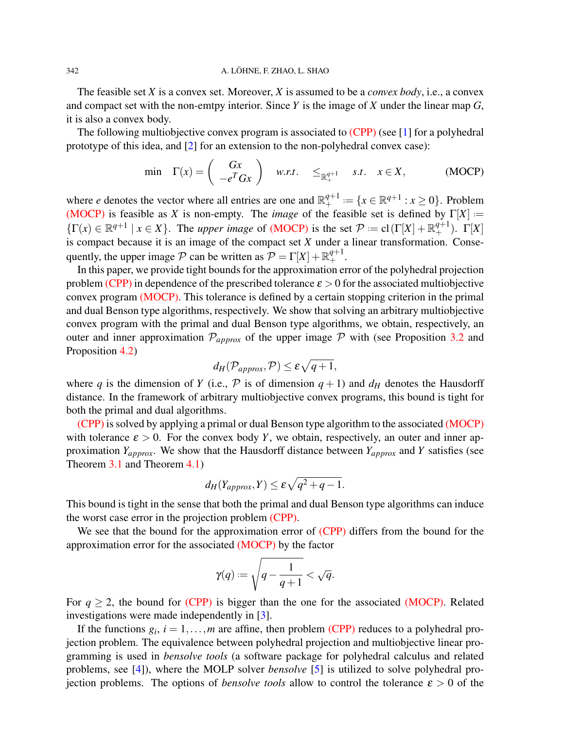#### 342 A. LÖHNE, F. ZHAO, L. SHAO

The feasible set *X* is a convex set. Moreover, *X* is assumed to be a *convex body*, i.e., a convex and compact set with the non-emtpy interior. Since *Y* is the image of *X* under the linear map *G*, it is also a convex body.

The following multiobjective convex program is associated to [\(CPP\)](#page-0-0) (see [\[1\]](#page-12-0) for a polyhedral prototype of this idea, and [\[2\]](#page-12-1) for an extension to the non-polyhedral convex case):

<span id="page-1-0"></span>
$$
\min \quad \Gamma(x) = \left( \begin{array}{c} Gx \\ -e^T Gx \end{array} \right) \quad w.r.t. \quad \leq_{\mathbb{R}^{q+1}_+} \quad s.t. \quad x \in X, \tag{MOCP}
$$

where *e* denotes the vector where all entries are one and  $\mathbb{R}^{q+1}_+$  $A^{q+1}_{+} := \{x \in \mathbb{R}^{q+1} : x \ge 0\}.$  Problem [\(MOCP\)](#page-1-0) is feasible as *X* is non-empty. The *image* of the feasible set is defined by  $\Gamma[X] :=$  $\{\Gamma(x) \in \mathbb{R}^{q+1} \mid x \in X\}$ . The *upper image* of [\(MOCP\)](#page-1-0) is the set  $\mathcal{P} := cl(\Gamma[X] + \mathbb{R}^{q+1}_+)$ .  $\Gamma[X]$ is compact because it is an image of the compact set *X* under a linear transformation. Consequently, the upper image  $P$  can be written as  $P = \Gamma[X] + \mathbb{R}^{q+1}_+$ .

In this paper, we provide tight bounds for the approximation error of the polyhedral projection problem [\(CPP\)](#page-0-0) in dependence of the prescribed tolerance  $\varepsilon > 0$  for the associated multiobjective convex program [\(MOCP\).](#page-1-0) This tolerance is defined by a certain stopping criterion in the primal and dual Benson type algorithms, respectively. We show that solving an arbitrary multiobjective convex program with the primal and dual Benson type algorithms, we obtain, respectively, an outer and inner approximation  $\mathcal{P}_{approx}$  of the upper image  $\mathcal P$  with (see Proposition [3.2](#page-5-0) and Proposition [4.2\)](#page-9-0)

$$
d_H(\mathcal{P}_{approx}, \mathcal{P}) \leq \varepsilon \sqrt{q+1},
$$

where *q* is the dimension of *Y* (i.e.,  $P$  is of dimension  $q + 1$ ) and  $d_H$  denotes the Hausdorff distance. In the framework of arbitrary multiobjective convex programs, this bound is tight for both the primal and dual algorithms.

[\(CPP\)](#page-0-0) is solved by applying a primal or dual Benson type algorithm to the associated [\(MOCP\)](#page-1-0) with tolerance  $\varepsilon > 0$ . For the convex body *Y*, we obtain, respectively, an outer and inner approximation *Yapprox*. We show that the Hausdorff distance between *Yapprox* and *Y* satisfies (see Theorem [3.1](#page-6-0) and Theorem [4.1\)](#page-10-0)

$$
d_H(Y_{approx}, Y) \le \varepsilon \sqrt{q^2 + q - 1}.
$$

This bound is tight in the sense that both the primal and dual Benson type algorithms can induce the worst case error in the projection problem [\(CPP\).](#page-0-0)

We see that the bound for the approximation error of [\(CPP\)](#page-0-0) differs from the bound for the approximation error for the associated [\(MOCP\)](#page-1-0) by the factor

$$
\gamma(q):=\sqrt{q-\frac{1}{q+1}}<\sqrt{q}.
$$

For  $q > 2$ , the bound for [\(CPP\)](#page-0-0) is bigger than the one for the associated [\(MOCP\).](#page-1-0) Related investigations were made independently in [\[3\]](#page-12-2).

If the functions  $g_i$ ,  $i = 1, ..., m$  are affine, then problem [\(CPP\)](#page-0-0) reduces to a polyhedral projection problem. The equivalence between polyhedral projection and multiobjective linear programming is used in *bensolve tools* (a software package for polyhedral calculus and related problems, see [\[4\]](#page-12-3)), where the MOLP solver *bensolve* [\[5\]](#page-12-4) is utilized to solve polyhedral projection problems. The options of *bensolve tools* allow to control the tolerance  $\varepsilon > 0$  of the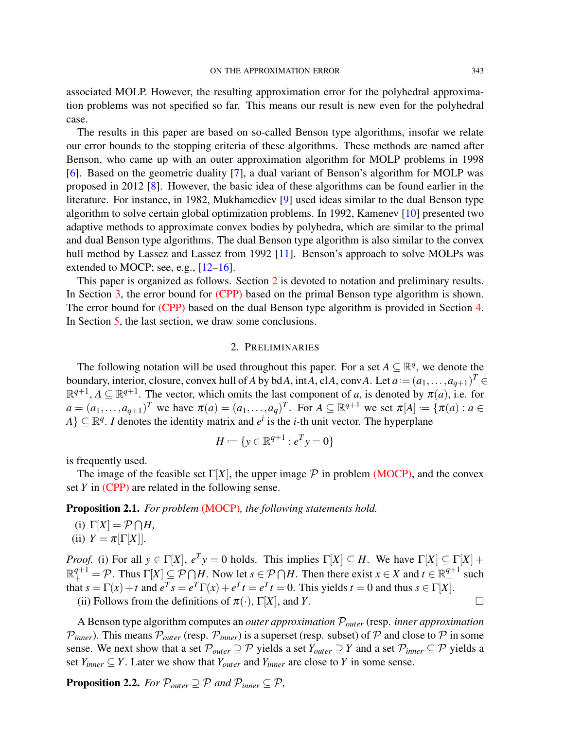associated MOLP. However, the resulting approximation error for the polyhedral approximation problems was not specified so far. This means our result is new even for the polyhedral case.

The results in this paper are based on so-called Benson type algorithms, insofar we relate our error bounds to the stopping criteria of these algorithms. These methods are named after Benson, who came up with an outer approximation algorithm for MOLP problems in 1998 [\[6\]](#page-12-5). Based on the geometric duality [\[7\]](#page-12-6), a dual variant of Benson's algorithm for MOLP was proposed in 2012 [\[8\]](#page-12-7). However, the basic idea of these algorithms can be found earlier in the literature. For instance, in 1982, Mukhamediev [\[9\]](#page-12-8) used ideas similar to the dual Benson type algorithm to solve certain global optimization problems. In 1992, Kamenev [\[10\]](#page-12-9) presented two adaptive methods to approximate convex bodies by polyhedra, which are similar to the primal and dual Benson type algorithms. The dual Benson type algorithm is also similar to the convex hull method by Lassez and Lassez from 1992 [\[11\]](#page-12-10). Benson's approach to solve MOLPs was extended to MOCP; see, e.g.,  $[12-16]$  $[12-16]$ .

This paper is organized as follows. Section [2](#page-2-0) is devoted to notation and preliminary results. In Section [3,](#page-4-0) the error bound for [\(CPP\)](#page-0-0) based on the primal Benson type algorithm is shown. The error bound for [\(CPP\)](#page-0-0) based on the dual Benson type algorithm is provided in Section [4.](#page-7-0) In Section [5,](#page-12-12) the last section, we draw some conclusions.

### 2. PRELIMINARIES

<span id="page-2-0"></span>The following notation will be used throughout this paper. For a set  $A \subseteq \mathbb{R}^q$ , we denote the boundary, interior, closure, convex hull of *A* by bd*A*, int*A*, cl*A*, conv*A*. Let  $a = (a_1, \ldots, a_{q+1})^T \in$  $\mathbb{R}^{q+1}$ ,  $A \subseteq \mathbb{R}^{q+1}$ . The vector, which omits the last component of *a*, is denoted by  $\pi(a)$ , i.e. for  $a = (a_1, \ldots, a_{q+1})^T$  we have  $\pi(a) = (a_1, \ldots, a_q)^T$ . For  $A \subseteq \mathbb{R}^{q+1}$  we set  $\pi[A] := \{ \pi(a) : a \in A \}$  $A$ }  $\subseteq \mathbb{R}^q$ . *I* denotes the identity matrix and  $e^i$  is the *i*-th unit vector. The hyperplane

$$
H := \{ y \in \mathbb{R}^{q+1} : e^T y = 0 \}
$$

is frequently used.

The image of the feasible set  $\Gamma[X]$ , the upper image  $\mathcal P$  in problem [\(MOCP\),](#page-1-0) and the convex set *Y* in [\(CPP\)](#page-0-0) are related in the following sense.

<span id="page-2-1"></span>Proposition 2.1. *For problem* [\(MOCP\)](#page-1-0)*, the following statements hold.*

- (i)  $\Gamma[X] = \mathcal{P} \bigcap H$ ,
- (ii)  $Y = \pi[\Gamma[X]].$

*Proof.* (i) For all  $y \in \Gamma[X]$ ,  $e^T y = 0$  holds. This implies  $\Gamma[X] \subseteq H$ . We have  $\Gamma[X] \subseteq \Gamma[X] +$  $\mathbb{R}^{q+1}_+ = \mathcal{P}$ . Thus  $\Gamma[X] \subseteq \mathcal{P} \cap H$ . Now let  $s \in \mathcal{P} \cap H$ . Then there exist  $x \in X$  and  $t \in \mathbb{R}^{q+1}_+$  such that  $s = \Gamma(x) + t$  and  $e^T s = e^T \Gamma(x) + e^T t = e^T t = 0$ . This yields  $t = 0$  and thus  $s \in \Gamma[X]$ .

(ii) Follows from the definitions of  $\pi(\cdot)$ ,  $\Gamma[X]$ , and *Y*.

A Benson type algorithm computes an *outer approximation* P*outer* (resp. *inner approximation*  $P_{inner}$ ). This means  $P_{outer}$  (resp.  $P_{inner}$ ) is a superset (resp. subset) of P and close to P in some sense. We next show that a set  $\mathcal{P}_{outer} \supseteq \mathcal{P}$  yields a set  $Y_{outer} \supseteq Y$  and a set  $\mathcal{P}_{inner} \subseteq \mathcal{P}$  yields a set  $Y_{inner} \subseteq Y$ . Later we show that  $Y_{outer}$  and  $Y_{inner}$  are close to *Y* in some sense.

<span id="page-2-2"></span>**Proposition 2.2.** *For*  $\mathcal{P}_{outer} \supseteq \mathcal{P}$  *and*  $\mathcal{P}_{inner} \subseteq \mathcal{P}$ *,*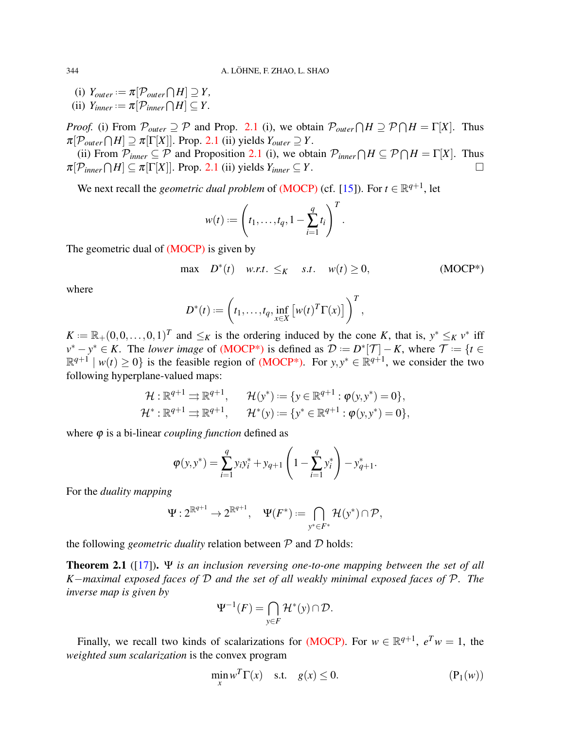$(i)$   $Y_{outer} := \pi[\mathcal{P}_{outer} \cap H] \supseteq Y$ ,  $(iii)$   $Y_{inner} := \pi[\mathcal{P}_{inner} \cap H] \subseteq Y$ .

*Proof.* (i) From  $P_{outer} \supseteq P$  and Prop. [2.1](#page-2-1) (i), we obtain  $P_{outer} \cap H \supseteq P \cap H = \Gamma[X]$ . Thus  $\pi[\mathcal{P}_{outer} \cap H] \supseteq \pi[\Gamma[X]]$ . Prop. [2.1](#page-2-1) (ii) yields  $Y_{outer} \supseteq Y$ .

(ii) From  $P_{inner} \subseteq P$  and Proposition [2.1](#page-2-1) (i), we obtain  $P_{inner} \cap H \subseteq P \cap H = \Gamma[X]$ . Thus  $\pi[\mathcal{P}_{inner} \cap H] \subseteq \pi[\Gamma[X]]$ . Prop. [2.1](#page-2-1) (ii) yields  $Y_{inner} \subseteq Y$ .

We next recall the *geometric dual problem* of [\(MOCP\)](#page-1-0) (cf. [\[15\]](#page-13-1)). For  $t \in \mathbb{R}^{q+1}$ , let

<span id="page-3-0"></span>
$$
w(t) := \left(t_1, \ldots, t_q, 1 - \sum_{i=1}^q t_i\right)^T.
$$

The geometric dual of [\(MOCP\)](#page-1-0) is given by

$$
\max \quad D^*(t) \quad w.r.t. \leq_K \quad s.t. \quad w(t) \geq 0,
$$
\n(MOCP\*)

where

$$
D^*(t) := \left(t_1,\ldots,t_q,\inf_{x\in X}\left[w(t)^T\Gamma(x)\right]\right)^T,
$$

 $K := \mathbb{R}_+(0,0,\ldots,0,1)^T$  and  $\leq_K$  is the ordering induced by the cone *K*, that is,  $y^* \leq_K v^*$  iff  $v^* - y^* \in K$ . The *lower image* of (MOCP<sup>\*</sup>) is defined as  $\mathcal{D} := D^*[\mathcal{T}] - K$ , where  $\mathcal{T} := \{t \in \mathcal{T} : |t| \leq T\}$  $\mathbb{R}^{q+1}$  |  $w(t) \ge 0$ } is the feasible region of (MOCP<sup>\*</sup>). For  $y, y^* \in \mathbb{R}^{q+1}$ , we consider the two following hyperplane-valued maps:

$$
\mathcal{H}: \mathbb{R}^{q+1} \rightrightarrows \mathbb{R}^{q+1}, \qquad \mathcal{H}(y^*) := \{y \in \mathbb{R}^{q+1} : \varphi(y, y^*) = 0\},
$$
  

$$
\mathcal{H}^*: \mathbb{R}^{q+1} \rightrightarrows \mathbb{R}^{q+1}, \qquad \mathcal{H}^*(y) := \{y^* \in \mathbb{R}^{q+1} : \varphi(y, y^*) = 0\},
$$

where  $\varphi$  is a bi-linear *coupling function* defined as

$$
\varphi(y, y^*) = \sum_{i=1}^q y_i y_i^* + y_{q+1} \left( 1 - \sum_{i=1}^q y_i^* \right) - y_{q+1}^*.
$$

For the *duality mapping*

$$
\Psi: 2^{\mathbb{R}^{q+1}} \to 2^{\mathbb{R}^{q+1}}, \quad \Psi(F^*) \coloneqq \bigcap_{y^* \in F^*} \mathcal{H}(y^*) \cap \mathcal{P},
$$

the following *geometric duality* relation between  $P$  and  $D$  holds:

Theorem 2.1 ([\[17\]](#page-13-2)). Ψ *is an inclusion reversing one-to-one mapping between the set of all K*−*maximal exposed faces of* D *and the set of all weakly minimal exposed faces of* P*. The inverse map is given by*

$$
\Psi^{-1}(F) = \bigcap_{y \in F} \mathcal{H}^*(y) \cap \mathcal{D}.
$$

Finally, we recall two kinds of scalarizations for [\(MOCP\).](#page-1-0) For  $w \in \mathbb{R}^{q+1}$ ,  $e^T w = 1$ , the *weighted sum scalarization* is the convex program

<span id="page-3-1"></span>
$$
\min_{x} w^T \Gamma(x) \quad \text{s.t.} \quad g(x) \le 0. \tag{P_1(w)}
$$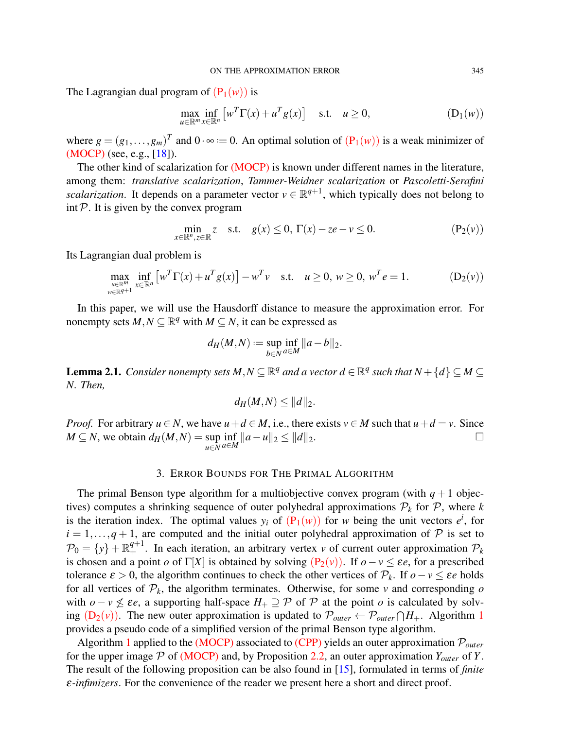The Lagrangian dual program of  $(P_1(w))$  $(P_1(w))$  is

$$
\max_{u \in \mathbb{R}^m} \inf_{x \in \mathbb{R}^n} \left[ w^T \Gamma(x) + u^T g(x) \right] \quad \text{s.t.} \quad u \ge 0,
$$
\n(D<sub>1</sub>(w))

where  $g = (g_1, \ldots, g_m)^T$  and  $0 \cdot \infty := 0$ . An optimal solution of  $(P_1(w))$  $(P_1(w))$  is a weak minimizer of [\(MOCP\)](#page-1-0) (see, e.g., [\[18\]](#page-13-3)).

The other kind of scalarization for [\(MOCP\)](#page-1-0) is known under different names in the literature, among them: *translative scalarization*, *Tammer-Weidner scalarization* or *Pascoletti-Serafini scalarization*. It depends on a parameter vector  $v \in \mathbb{R}^{q+1}$ , which typically does not belong to  $int \mathcal{P}$ . It is given by the convex program

$$
\min_{x \in \mathbb{R}^n, z \in \mathbb{R}} z \quad \text{s.t.} \quad g(x) \le 0, \ \Gamma(x) - z e - v \le 0. \tag{P_2(v)}
$$

Its Lagrangian dual problem is

$$
\max_{\substack{u \in \mathbb{R}^m \\ w \in \mathbb{R}^{q+1}}} \inf_{x \in \mathbb{R}^n} \left[ w^T \Gamma(x) + u^T g(x) \right] - w^T v \quad \text{s.t.} \quad u \ge 0, \ w \ge 0, \ w^T e = 1. \tag{D_2(v)}
$$

In this paper, we will use the Hausdorff distance to measure the approximation error. For nonempty sets  $M, N \subseteq \mathbb{R}^q$  with  $M \subseteq N$ , it can be expressed as

<span id="page-4-2"></span><span id="page-4-1"></span>
$$
d_H(M,N) := \sup_{b \in N} \inf_{a \in M} ||a - b||_2.
$$

<span id="page-4-4"></span>**Lemma 2.1.** *Consider nonempty sets*  $M, N \subseteq \mathbb{R}^q$  *and a vector*  $d \in \mathbb{R}^q$  *such that*  $N + \{d\} \subseteq M \subseteq$ *N. Then,*

$$
d_H(M,N) \leq ||d||_2.
$$

*Proof.* For arbitrary  $u \in N$ , we have  $u + d \in M$ , i.e., there exists  $v \in M$  such that  $u + d = v$ . Since  $M \subseteq N$ , we obtain  $d_H(M, N) = \sup$ *u*∈*N*  $\inf_{a \in M} ||a - u||_2$  ≤  $||d||_2$ . □

### 3. ERROR BOUNDS FOR THE PRIMAL ALGORITHM

<span id="page-4-0"></span>The primal Benson type algorithm for a multiobjective convex program (with  $q+1$  objectives) computes a shrinking sequence of outer polyhedral approximations  $P_k$  for  $P$ , where k is the iteration index. The optimal values  $y_i$  of  $(P_1(w))$  $(P_1(w))$  for *w* being the unit vectors  $e^i$ , for  $i = 1, \ldots, q + 1$ , are computed and the initial outer polyhedral approximation of  $P$  is set to  $\mathcal{P}_0 = \{y\} + \mathbb{R}^{q+1}_+$ . In each iteration, an arbitrary vertex *v* of current outer approximation  $\mathcal{P}_k$ is chosen and a point *o* of Γ[*X*] is obtained by solving  $(P_2(v))$  $(P_2(v))$ . If  $o - v \le \varepsilon e$ , for a prescribed tolerance  $\varepsilon > 0$ , the algorithm continues to check the other vertices of  $\mathcal{P}_k$ . If  $o - v \leq \varepsilon e$  holds for all vertices of  $P_k$ , the algorithm terminates. Otherwise, for some *v* and corresponding  $o$ with  $o - v \nleq \varepsilon e$ , a supporting half-space  $H_+ \supseteq P$  of P at the point *o* is calculated by solving  $(D_2(v))$  $(D_2(v))$ . The new outer approximation is updated to  $\mathcal{P}_{outer} \leftarrow \mathcal{P}_{outer} \cap H_+$ . Algorithm [1](#page-4-3) provides a pseudo code of a simplified version of the primal Benson type algorithm.

<span id="page-4-3"></span>Algorithm [1](#page-4-3) applied to the [\(MOCP\)](#page-1-0) associated to [\(CPP\)](#page-0-0) yields an outer approximation P*outer* for the upper image  $P$  of [\(MOCP\)](#page-1-0) and, by Proposition [2.2,](#page-2-2) an outer approximation  $Y_{outer}$  of  $Y$ . The result of the following proposition can be also found in [\[15\]](#page-13-1), formulated in terms of *finite* ε*-infimizers*. For the convenience of the reader we present here a short and direct proof.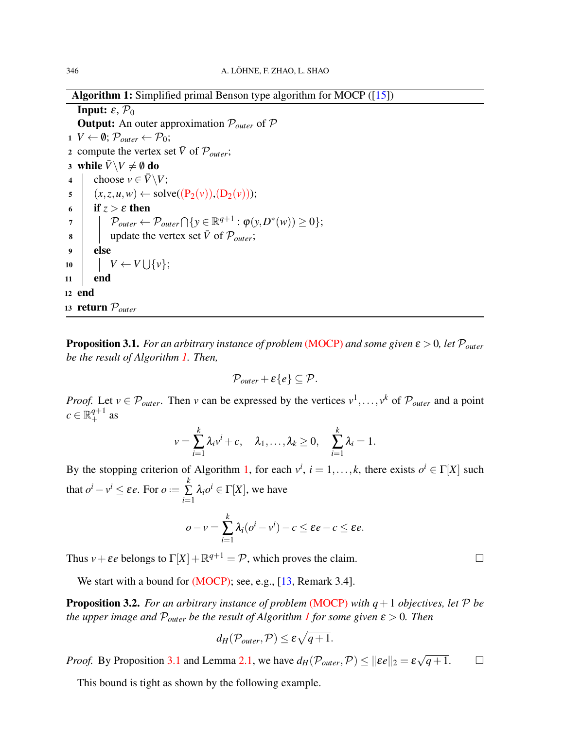Algorithm 1: Simplified primal Benson type algorithm for MOCP ([\[15\]](#page-13-1))

**Input:**  $\varepsilon$ ,  $\mathcal{P}_0$ Output: An outer approximation P*outer* of P 1 *V* ← Ø;  $\mathcal{P}_{outer}$  ←  $\mathcal{P}_0$ ; 2 compute the vertex set  $\bar{V}$  of  $\mathcal{P}_{outer}$ ; 3 while  $\bar{V} \backslash V \neq \emptyset$  do 4 choose  $v \in \overline{V} \backslash V$ ;  $5 \mid (x, z, u, w) \leftarrow \text{solve}((P_2(v)), (D_2(v)))$  $5 \mid (x, z, u, w) \leftarrow \text{solve}((P_2(v)), (D_2(v)))$  $5 \mid (x, z, u, w) \leftarrow \text{solve}((P_2(v)), (D_2(v)))$ ; 6 if  $z > \varepsilon$  then  $\mathcal{P}_{outer} \leftarrow \mathcal{P}_{outer} \bigcap \{ \mathrm{y} \in \mathbb{R}^{q+1} : \pmb{\varphi}(\mathrm{y}, D^*(w)) \geq 0 \};$  $\mathbf{8}$  update the vertex set  $\bar{V}$  of  $\mathcal{P}_{outer}$ ; <sup>9</sup> else  $10$   $|$   $V \leftarrow V \bigcup \{v\};$  $11$  end <sup>12</sup> end <sup>13</sup> return P*outer*

<span id="page-5-1"></span>Proposition 3.1. *For an arbitrary instance of problem* [\(MOCP\)](#page-1-0) *and some given* ε > 0*, let* P*outer be the result of Algorithm [1.](#page-4-3) Then,*

$$
\mathcal{P}_{outer}+\varepsilon\{e\}\subseteq\mathcal{P}.
$$

*Proof.* Let  $v \in \mathcal{P}_{outer}$ . Then *v* can be expressed by the vertices  $v^1, \ldots, v^k$  of  $\mathcal{P}_{outer}$  and a point  $c \in \mathbb{R}^{q+1}_+$  as

$$
v=\sum_{i=1}^k\lambda_iv^i+c,\quad \lambda_1,\ldots,\lambda_k\geq 0,\quad \sum_{i=1}^k\lambda_i=1.
$$

By the stopping criterion of Algorithm [1,](#page-4-3) for each  $v^i$ ,  $i = 1, ..., k$ , there exists  $o^i \in \Gamma[X]$  such that  $o^i - v^i \le \varepsilon e$ . For  $o :=$ *k* ∑ *i*=1  $\lambda_i o^i \in \Gamma[X]$ , we have

$$
o-v=\sum_{i=1}^k\lambda_i(o^i-v^i)-c\leq \varepsilon e-c\leq \varepsilon e.
$$

Thus  $v + \varepsilon e$  belongs to  $\Gamma[X] + \mathbb{R}^{q+1} = \mathcal{P}$ , which proves the claim.

We start with a bound for [\(MOCP\);](#page-1-0) see, e.g., [\[13,](#page-12-13) Remark 3.4].

<span id="page-5-0"></span>**Proposition 3.2.** *For an arbitrary instance of problem* [\(MOCP\)](#page-1-0) *with*  $q + 1$  *objectives, let*  $P$  *be the upper image and*  $P_{outer}$  *be the result of Algorithm [1](#page-4-3) for some given*  $\varepsilon > 0$ *. Then* 

$$
d_H(\mathcal{P}_{outer}, \mathcal{P}) \leq \varepsilon \sqrt{q+1}.
$$

*Proof.* By Proposition [3.1](#page-5-1) and Lemma [2.1,](#page-4-4) we have  $d_H(\mathcal{P}_{outer}, \mathcal{P}) \le ||\varepsilon e||_2 = \varepsilon$  $\sqrt{q+1}$ . □

This bound is tight as shown by the following example.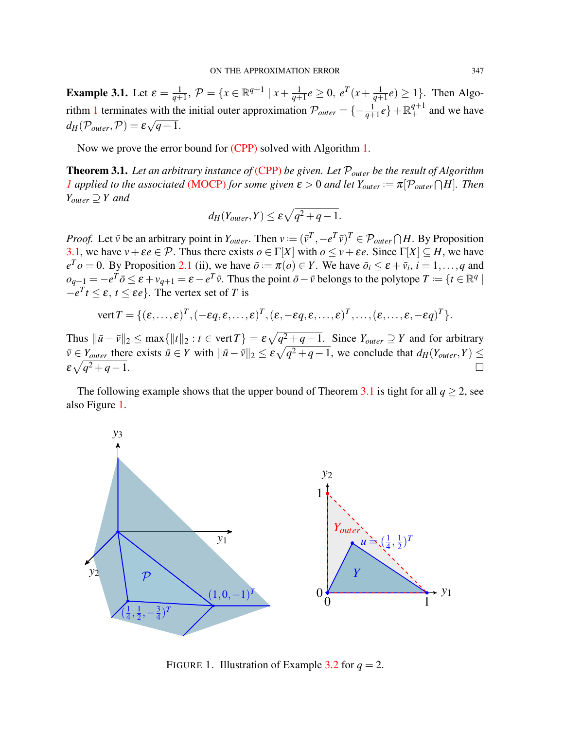**Example 3.1.** Let  $\varepsilon = \frac{1}{a+1}$  $\frac{1}{q+1}, \mathcal{P} = \{x \in \mathbb{R}^{q+1} \mid x + \frac{1}{q+1}\}$  $\frac{1}{q+1}e \geq 0, \; e^{T}(x+\frac{1}{q+1})$  $\frac{1}{q+1}e$   $\geq$  1}. Then Algo-rithm [1](#page-4-3) terminates with the initial outer approximation  $\mathcal{P}_{outer} = \{-\frac{1}{q+1}e\} + \mathbb{R}^{q+1}_+$  and we have  $d_H(\mathcal{P}_{outer}, \mathcal{P}) = \varepsilon \sqrt{q+1}.$ 

Now we prove the error bound for [\(CPP\)](#page-0-0) solved with Algorithm [1.](#page-4-3)

<span id="page-6-0"></span>Theorem 3.1. *Let an arbitrary instance of* [\(CPP\)](#page-0-0) *be given. Let* P*outer be the result of Algorithm [1](#page-4-3) applied to the associated* [\(MOCP\)](#page-1-0) *for some given*  $\varepsilon > 0$  *and let*  $Y_{outer} := \pi[\mathcal{P}_{outer} \cap H]$ *. Then Youter* ⊇ *Y and*

$$
d_H(Y_{outer},Y) \leq \varepsilon \sqrt{q^2+q-1}.
$$

*Proof.* Let  $\bar{v}$  be an arbitrary point in  $Y_{outer}$ . Then  $v := (\bar{v}^T, -e^T\bar{v})^T \in \mathcal{P}_{outer} \cap H$ . By Proposition [3.1,](#page-5-1) we have  $v + \varepsilon e \in \mathcal{P}$ . Thus there exists  $o \in \Gamma[X]$  with  $o \le v + \varepsilon e$ . Since  $\Gamma[X] \subseteq H$ , we have  $e^T o = 0$ . By Proposition [2.1](#page-2-1) (ii), we have  $\bar{o} = \pi(o) \in Y$ . We have  $\bar{o}_i \le \varepsilon + \bar{v}_i$ ,  $i = 1, \ldots, q$  and  $o_{q+1} = -e^T \bar{o} \leq \varepsilon + v_{q+1} = \varepsilon - e^T \bar{v}$ . Thus the point  $\bar{o} - \bar{v}$  belongs to the polytope  $T := \{t \in \mathbb{R}^q \mid$  $-e^T t \leq \varepsilon$ ,  $t \leq \varepsilon e$ . The vertex set of *T* is

vert 
$$
T = \{(\varepsilon, ..., \varepsilon)^T, (-\varepsilon q, \varepsilon, ..., \varepsilon)^T, (\varepsilon, -\varepsilon q, \varepsilon, ..., \varepsilon)^T, ..., (\varepsilon, ..., \varepsilon, -\varepsilon q)^T\}.
$$

Thus  $\|\bar{u} - \bar{v}\|_2 \le \max\{\|t\|_2 : t \in \text{vert } T\} = \varepsilon \sqrt{q^2 + q - 1}$ . Since  $Y_{outer} \supseteq Y$  and for arbitrary  $\bar{v} \in Y_{outer}$  there exists  $\bar{u} \in Y$  with  $\|\bar{u} - \bar{v}\|_2 \le \varepsilon \sqrt{q^2 + q - 1}$ , we conclude that  $d_H(Y_{outer}, Y) \le$  $\varepsilon\sqrt{q}$  $\frac{2}{4}$  + *q*−1.

The following example shows that the upper bound of Theorem [3.1](#page-6-0) is tight for all  $q \ge 2$ , see also Figure [1.](#page-6-1)



<span id="page-6-1"></span>FIGURE 1. Illustration of Example [3.2](#page-7-1) for  $q = 2$ .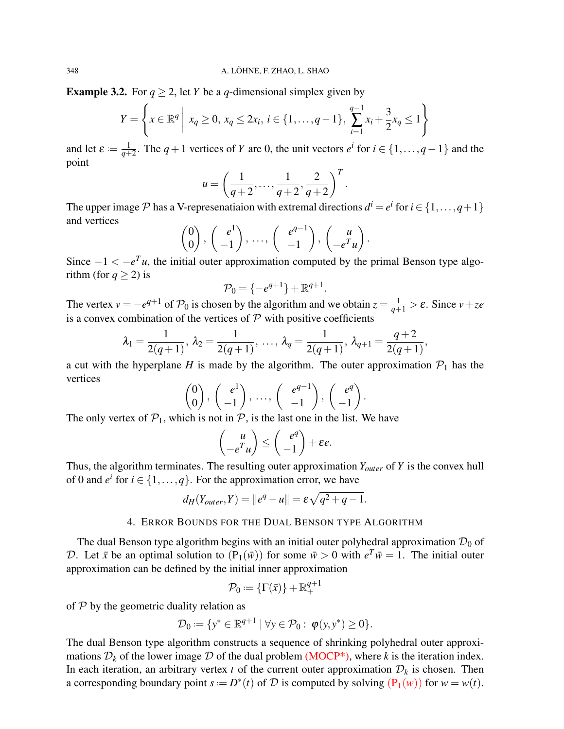<span id="page-7-1"></span>**Example 3.2.** For  $q \ge 2$ , let *Y* be a *q*-dimensional simplex given by

$$
Y = \left\{ x \in \mathbb{R}^q \mid x_q \ge 0, x_q \le 2x_i, i \in \{1, \dots, q-1\}, \sum_{i=1}^{q-1} x_i + \frac{3}{2}x_q \le 1 \right\}
$$

and let  $\varepsilon := \frac{1}{a+1}$  $\frac{1}{q+2}$ . The *q* + 1 vertices of *Y* are 0, the unit vectors *e<sup>i</sup>* for *i* ∈ {1,...,*q*−1} and the point

$$
u = \left(\frac{1}{q+2}, \ldots, \frac{1}{q+2}, \frac{2}{q+2}\right)^T.
$$

The upper image  $P$  has a V-represenatiaion with extremal directions  $d^i = e^i$  for  $i \in \{1, ..., q+1\}$ and vertices

$$
\begin{pmatrix} 0 \\ 0 \end{pmatrix}, \begin{pmatrix} e^1 \\ -1 \end{pmatrix}, \dots, \begin{pmatrix} e^{q-1} \\ -1 \end{pmatrix}, \begin{pmatrix} u \\ -e^T u \end{pmatrix}.
$$

Since  $-1 < -e^{T}u$ , the initial outer approximation computed by the primal Benson type algorithm (for  $q \ge 2$ ) is

$$
\mathcal{P}_0 = \{-e^{q+1}\} + \mathbb{R}^{q+1}
$$

.

The vertex  $v = -e^{q+1}$  of  $\mathcal{P}_0$  is chosen by the algorithm and we obtain  $z = \frac{1}{q+1} > \varepsilon$ . Since  $v + ze$ is a convex combination of the vertices of  $P$  with positive coefficients

$$
\lambda_1 = \frac{1}{2(q+1)}, \lambda_2 = \frac{1}{2(q+1)}, \ldots, \lambda_q = \frac{1}{2(q+1)}, \lambda_{q+1} = \frac{q+2}{2(q+1)},
$$

a cut with the hyperplane *H* is made by the algorithm. The outer approximation  $P_1$  has the vertices

$$
\begin{pmatrix} 0 \\ 0 \end{pmatrix}, \begin{pmatrix} e^1 \\ -1 \end{pmatrix}, \dots, \begin{pmatrix} e^{q-1} \\ -1 \end{pmatrix}, \begin{pmatrix} e^q \\ -1 \end{pmatrix}.
$$

The only vertex of  $P_1$ , which is not in  $P$ , is the last one in the list. We have

$$
\begin{pmatrix} u \\ -e^T u \end{pmatrix} \le \begin{pmatrix} e^q \\ -1 \end{pmatrix} + \varepsilon e.
$$

Thus, the algorithm terminates. The resulting outer approximation *Youter* of *Y* is the convex hull of 0 and  $e^i$  for  $i \in \{1, ..., q\}$ . For the approximation error, we have

$$
d_H(Y_{outer},Y) = ||e^q - u|| = \varepsilon \sqrt{q^2 + q - 1}.
$$

# 4. ERROR BOUNDS FOR THE DUAL BENSON TYPE ALGORITHM

<span id="page-7-0"></span>The dual Benson type algorithm begins with an initial outer polyhedral approximation  $\mathcal{D}_0$  of D. Let  $\bar{x}$  be an optimal solution to  $(P_1(\bar{w}))$  for some  $\bar{w} > 0$  with  $e^T \bar{w} = 1$ . The initial outer approximation can be defined by the initial inner approximation

$$
\mathcal{P}_0:=\{\Gamma(\bar{x})\}+\mathbb{R}^{q+1}_+
$$

of  $P$  by the geometric duality relation as

$$
\mathcal{D}_0:=\{y^*\in\mathbb{R}^{q+1}\mid \forall y\in\mathcal{P}_0:\;\boldsymbol{\varphi}(y,y^*)\geq 0\}.
$$

The dual Benson type algorithm constructs a sequence of shrinking polyhedral outer approximations  $\mathcal{D}_k$  of the lower image  $\mathcal D$  of the dual problem (MOCP<sup>\*</sup>), where *k* is the iteration index. In each iteration, an arbitrary vertex  $t$  of the current outer approximation  $\mathcal{D}_k$  is chosen. Then a corresponding boundary point  $s := D^*(t)$  of  $D$  is computed by solving  $(P_1(w))$  $(P_1(w))$  for  $w = w(t)$ .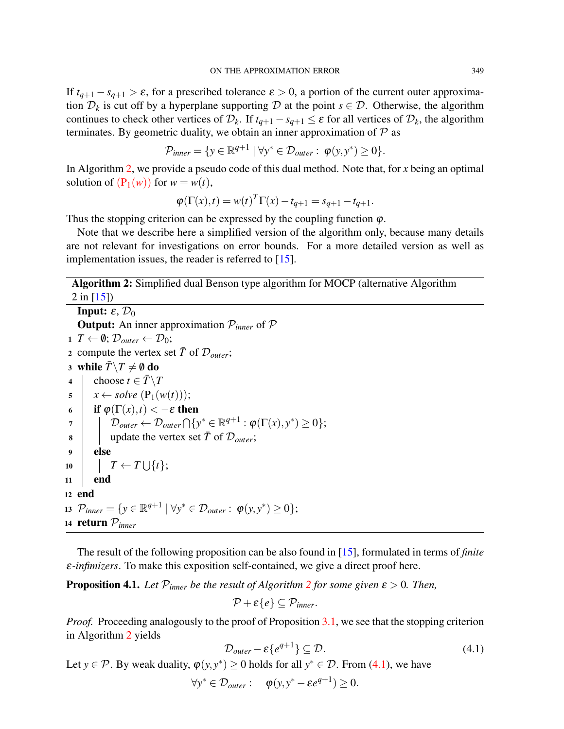If  $t_{q+1} - s_{q+1} > \varepsilon$ , for a prescribed tolerance  $\varepsilon > 0$ , a portion of the current outer approximation  $\mathcal{D}_k$  is cut off by a hyperplane supporting  $\mathcal D$  at the point  $s \in \mathcal D$ . Otherwise, the algorithm continues to check other vertices of  $\mathcal{D}_k$ . If  $t_{q+1} - s_{q+1} \leq \varepsilon$  for all vertices of  $\mathcal{D}_k$ , the algorithm terminates. By geometric duality, we obtain an inner approximation of  $P$  as

$$
\mathcal{P}_{inner} = \{ y \in \mathbb{R}^{q+1} \mid \forall y^* \in \mathcal{D}_{outer} : \varphi(y, y^*) \ge 0 \}.
$$

In Algorithm [2,](#page-8-0) we provide a pseudo code of this dual method. Note that, for *x* being an optimal solution of  $(P_1(w))$  $(P_1(w))$  for  $w = w(t)$ ,

$$
\varphi(\Gamma(x),t) = w(t)^T \Gamma(x) - t_{q+1} = s_{q+1} - t_{q+1}.
$$

Thus the stopping criterion can be expressed by the coupling function  $\varphi$ .

Note that we describe here a simplified version of the algorithm only, because many details are not relevant for investigations on error bounds. For a more detailed version as well as implementation issues, the reader is referred to [\[15\]](#page-13-1).

<span id="page-8-0"></span>Algorithm 2: Simplified dual Benson type algorithm for MOCP (alternative Algorithm  $2$  in [\[15\]](#page-13-1))

**Input:**  $\varepsilon$ ,  $\mathcal{D}_0$ **Output:** An inner approximation  $P_{inner}$  of  $P$ 1 *T* ←  $\emptyset$ ;  $\mathcal{D}_{outer}$  ←  $\mathcal{D}_0$ ; 2 compute the vertex set  $\bar{T}$  of  $\mathcal{D}_{outer}$ ; 3 while  $\bar{T} \setminus T \neq \emptyset$  do 4 choose  $t \in \overline{T} \backslash T$  $\mathfrak{s}$  |  $x \leftarrow solve(\mathbf{P}_1(w(t)))$ ; 6 **if**  $\varphi(\Gamma(x), t) < -\varepsilon$  then  $\mathcal{D}_{outer} \leftarrow \mathcal{D}_{outer} \bigcap \{ \mathrm{y}^* \in \mathbb{R}^{q+1} : \boldsymbol{\varphi}(\Gamma(\mathrm{x}), \mathrm{y}^*) \geq 0 \};$  $\mathbf{8}$  update the vertex set  $\bar{T}$  of  $\mathcal{D}_{outer}$ ;  $9$  else  $10$   $\vert$   $T \leftarrow T \bigcup \{t\};$  $11$  end <sup>12</sup> end 13  $\mathcal{P}_{inner} = \{ y \in \mathbb{R}^{q+1} \mid \forall y^* \in \mathcal{D}_{outer} : \varphi(y, y^*) \ge 0 \};$ <sup>14</sup> return P*inner*

The result of the following proposition can be also found in [\[15\]](#page-13-1), formulated in terms of *finite* ε*-infimizers*. To make this exposition self-contained, we give a direct proof here.

<span id="page-8-2"></span>**Proposition 4.1.** Let  $\mathcal{P}_{inner}$  be the result of Algorithm [2](#page-8-0) for some given  $\varepsilon > 0$ . Then,

$$
\mathcal{P}+\varepsilon\{e\}\subseteq \mathcal{P}_{inner}.
$$

*Proof.* Proceeding analogously to the proof of Proposition [3.1,](#page-5-1) we see that the stopping criterion in Algorithm [2](#page-8-0) yields

<span id="page-8-1"></span>
$$
\mathcal{D}_{outer} - \varepsilon \{ e^{q+1} \} \subseteq \mathcal{D}.
$$
 (4.1)

Let *y*  $\in \mathcal{P}$ . By weak duality,  $\varphi(y, y^*) \ge 0$  holds for all  $y^* \in \mathcal{D}$ . From [\(4.1\)](#page-8-1), we have

 $\forall y^* \in \mathcal{D}_{outer}: \quad \boldsymbol{\varphi}(y, y^* - \boldsymbol{\varepsilon} e^{q+1}) \geq 0.$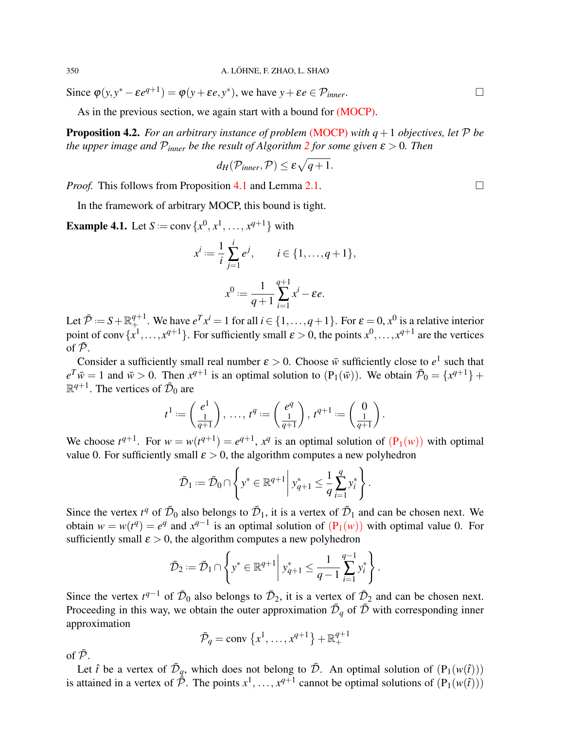350 A. LÖHNE, F. ZHAO, L. SHAO

Since  $\varphi(y, y^* - \varepsilon e^{q+1}) = \varphi(y + \varepsilon e, y^*)$ , we have  $y + \varepsilon e \in \mathcal{P}_{inner}$ .

As in the previous section, we again start with a bound for [\(MOCP\).](#page-1-0)

<span id="page-9-0"></span>**Proposition 4.2.** *For an arbitrary instance of problem* [\(MOCP\)](#page-1-0) *with*  $q + 1$  *objectives, let*  $P$  *be the upper image and*  $P_{inner}$  *be the result of Algorithm* [2](#page-8-0) *for some given*  $\varepsilon > 0$ *. Then* 

$$
d_H(\mathcal{P}_{inner}, \mathcal{P}) \leq \varepsilon \sqrt{q+1}.
$$

*Proof.* This follows from Proposition [4.1](#page-8-2) and Lemma [2.1.](#page-4-4)  $\Box$ 

In the framework of arbitrary MOCP, this bound is tight.

**Example 4.1.** Let  $S := \text{conv}\{x^0, x^1, ..., x^{q+1}\}$  with

$$
x^{i} := \frac{1}{i} \sum_{j=1}^{i} e^{j}, \qquad i \in \{1, ..., q+1\},
$$
  

$$
x^{0} := \frac{1}{q+1} \sum_{i=1}^{q+1} x^{i} - \varepsilon e.
$$

Let  $\bar{\mathcal{P}} := S + \mathbb{R}^{q+1}_+$ . We have  $e^T x^i = 1$  for all  $i \in \{1, ..., q+1\}$ . For  $\varepsilon = 0, x^0$  is a relative interior point of conv  $\{x^1, \ldots, x^{q+1}\}$ . For sufficiently small  $\varepsilon > 0$ , the points  $x^0, \ldots, x^{q+1}$  are the vertices of  $\bar{\mathcal{P}}$ .

Consider a sufficiently small real number  $\varepsilon > 0$ . Choose  $\bar{w}$  sufficiently close to  $e^1$  such that  $e^T \overline{w} = 1$  and  $\overline{w} > 0$ . Then  $x^{q+1}$  is an optimal solution to  $(P_1(\overline{w}))$ . We obtain  $\overline{\mathcal{P}}_0 = \{x^{q+1}\} +$  $\mathbb{R}^{q+1}$ . The vertices of  $\bar{\mathcal{D}}_0$  are

$$
t^1:=\begin{pmatrix}e^1\\ \frac{1}{q+1}\end{pmatrix},\ \ldots,\ t^q:=\begin{pmatrix}e^q\\ \frac{1}{q+1}\end{pmatrix},\ t^{q+1}:=\begin{pmatrix}0\\ \frac{1}{q+1}\end{pmatrix}.
$$

We choose  $t^{q+1}$ . For  $w = w(t^{q+1}) = e^{q+1}$ ,  $x^q$  is an optimal solution of  $(P_1(w))$  $(P_1(w))$  with optimal value 0. For sufficiently small  $\varepsilon > 0$ , the algorithm computes a new polyhedron

$$
\bar{\mathcal{D}}_1 := \bar{\mathcal{D}}_0 \cap \left\{ y^* \in \mathbb{R}^{q+1} \middle| y^*_{q+1} \leq \frac{1}{q} \sum_{i=1}^q y^*_i \right\}.
$$

Since the vertex  $t^q$  of  $\bar{\mathcal{D}}_0$  also belongs to  $\bar{\mathcal{D}}_1$ , it is a vertex of  $\bar{\mathcal{D}}_1$  and can be chosen next. We obtain  $w = w(t^q) = e^q$  and  $x^{q-1}$  is an optimal solution of  $(P_1(w))$  $(P_1(w))$  with optimal value 0. For sufficiently small  $\varepsilon > 0$ , the algorithm computes a new polyhedron

$$
\bar{\mathcal{D}}_2 := \bar{\mathcal{D}}_1 \cap \left\{ y^* \in \mathbb{R}^{q+1} \middle| y^*_{q+1} \leq \frac{1}{q-1} \sum_{i=1}^{q-1} y^*_i \right\}.
$$

Since the vertex  $t^{q-1}$  of  $\bar{\mathcal{D}}_0$  also belongs to  $\bar{\mathcal{D}}_2$ , it is a vertex of  $\bar{\mathcal{D}}_2$  and can be chosen next. Proceeding in this way, we obtain the outer approximation  $\bar{\mathcal{D}}_q$  of  $\bar{\mathcal{D}}$  with corresponding inner approximation

$$
\bar{\mathcal{P}}_q = \text{conv} \{x^1, \ldots, x^{q+1}\} + \mathbb{R}^{q+1}_+
$$

of  $\bar{\mathcal{P}}$ .

Let  $\hat{t}$  be a vertex of  $\bar{\mathcal{D}}_q$ , which does not belong to  $\bar{\mathcal{D}}$ . An optimal solution of  $(P_1(w(\hat{t})))$ is attained in a vertex of  $\bar{\bar{\mathcal{P}}}$ . The points  $x^1, \ldots, x^{q+1}$  cannot be optimal solutions of  $(P_1(w(\hat{t})))$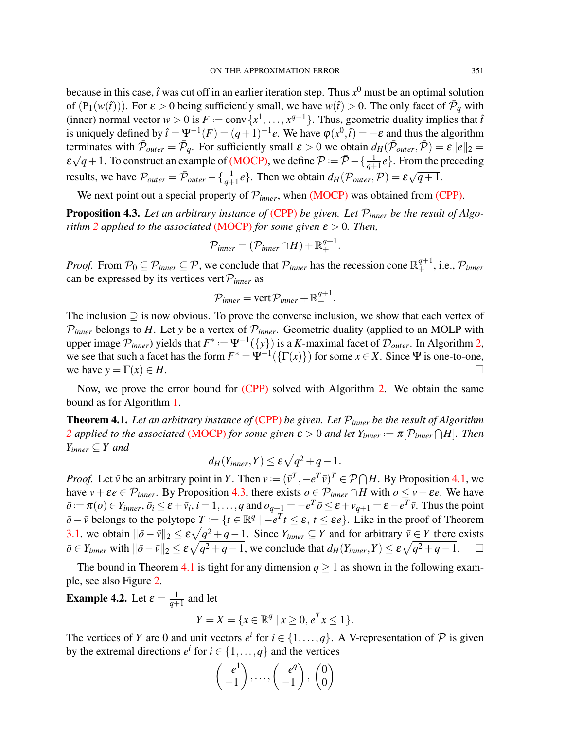because in this case,  $\hat{t}$  was cut off in an earlier iteration step. Thus  $x^0$  must be an optimal solution of  $(P_1(w(\hat{t})))$ . For  $\varepsilon > 0$  being sufficiently small, we have  $w(\hat{t}) > 0$ . The only facet of  $\bar{\mathcal{P}}_q$  with (inner) normal vector  $w > 0$  is  $F := \text{conv}\{x^1, \ldots, x^{q+1}\}\$ . Thus, geometric duality implies that  $\hat{t}$ is uniquely defined by  $\hat{t} = \Psi^{-1}(F) = (q+1)^{-1}e$ . We have  $\varphi(x^0, \hat{t}) = -\varepsilon$  and thus the algorithm terminates with  $\bar{\mathcal{P}}_{outer} = \bar{\mathcal{P}}_q$ . For sufficiently small  $\varepsilon > 0$  we obtain  $d_H(\bar{\mathcal{P}}_{outer}, \bar{\mathcal{P}}) = \varepsilon ||e||_2 =$  $\varepsilon\sqrt{q+1}$ . To construct an example of [\(MOCP\),](#page-1-0) we define  $P = \bar{P} - \{\frac{1}{q+1}e\}$ . From the preceding results, we have  $\mathcal{P}_{outer} = \bar{\mathcal{P}}_{outer} - {\frac{1}{q+1}e}$ . Then we obtain  $d_H(\mathcal{P}_{outer}, \mathcal{P}) = \varepsilon \sqrt{q+1}$ . √

We next point out a special property of  $\mathcal{P}_{inner}$ , when [\(MOCP\)](#page-1-0) was obtained from [\(CPP\).](#page-0-0)

<span id="page-10-1"></span>Proposition 4.3. *Let an arbitrary instance of* [\(CPP\)](#page-0-0) *be given. Let* P*inner be the result of Algorithm* [2](#page-8-0) *applied to the associated* [\(MOCP\)](#page-1-0) *for some given*  $\varepsilon > 0$ *. Then,* 

$$
\mathcal{P}_{inner} = (\mathcal{P}_{inner} \cap H) + \mathbb{R}^{q+1}_+.
$$

*Proof.* From  $\mathcal{P}_0 \subseteq \mathcal{P}_{inner} \subseteq \mathcal{P}$ , we conclude that  $\mathcal{P}_{inner}$  has the recession cone  $\mathbb{R}^{q+1}_+$ , i.e.,  $\mathcal{P}_{inner}$ can be expressed by its vertices vert  $P_{inner}$  as

$$
\mathcal{P}_{inner} = \text{vert } \mathcal{P}_{inner} + \mathbb{R}^{q+1}_+.
$$

The inclusion  $\supseteq$  is now obvious. To prove the converse inclusion, we show that each vertex of  $P_{inner}$  belongs to *H*. Let *y* be a vertex of  $P_{inner}$ . Geometric duality (applied to an MOLP with upper image  $\mathcal{P}_{inner}$ ) yields that  $F^* := \Psi^{-1}(\{y\})$  is a *K*-maximal facet of  $\mathcal{D}_{outer}$ . In Algorithm [2,](#page-8-0) we see that such a facet has the form  $F^* = \Psi^{-1}(\{\Gamma(x)\})$  for some  $x \in X$ . Since  $\Psi$  is one-to-one, we have  $y = \Gamma(x) \in H$ .

Now, we prove the error bound for [\(CPP\)](#page-0-0) solved with Algorithm [2.](#page-8-0) We obtain the same bound as for Algorithm [1.](#page-4-3)

<span id="page-10-0"></span>Theorem 4.1. *Let an arbitrary instance of* [\(CPP\)](#page-0-0) *be given. Let* P*inner be the result of Algorithm [2](#page-8-0) applied to the associated* [\(MOCP\)](#page-1-0) *for some given*  $\varepsilon > 0$  *and let*  $Y_{inner} := \pi[\mathcal{P}_{inner} \cap H]$ *. Then*  $Y_{inner} \subseteq Y$  and

$$
d_H(Y_{inner}, Y) \leq \varepsilon \sqrt{q^2 + q - 1}.
$$

*Proof.* Let  $\bar{v}$  be an arbitrary point in *Y*. Then  $v := (\bar{v}^T, -e^T\bar{v})^T \in \mathcal{P} \cap H$ . By Proposition [4.1,](#page-8-2) we have  $v + \varepsilon e \in \mathcal{P}_{inner}$ . By Proposition [4.3,](#page-10-1) there exists  $o \in \mathcal{P}_{inner} \cap H$  with  $o \le v + \varepsilon e$ . We have  $\bar{\rho} := \pi(\rho) \in Y_{inner}, \bar{o}_i \leq \varepsilon + \bar{\nu}_i, i = 1, \dots, q$  and  $o_{q+1} = -e^T \bar{o} \leq \varepsilon + \nu_{q+1} = \varepsilon - e^T \bar{\nu}$ . Thus the point  $\bar{\sigma} - \bar{v}$  belongs to the polytope  $T := \{t \in \mathbb{R}^q \mid -e^T t \leq \varepsilon, t \leq \varepsilon e\}$ . Like in the proof of Theorem [3.1,](#page-6-0) we obtain  $\|\bar{\sigma} - \bar{v}\|_2 \le \varepsilon \sqrt{q^2 + q - 1}$ . Since  $Y_{inner} \subseteq Y$  and for arbitrary  $\bar{v} \in Y$  there exists  $\bar{\rho} \in Y_{inner}$  with  $\|\bar{\rho} - \bar{\nu}\|_2 \leq \varepsilon \sqrt{q^2 + q - 1}$ , we conclude that  $d_H(Y_{inner}, Y) \leq \varepsilon \sqrt{q^2 + q - 1}$ .  $\Box$ 

The bound in Theorem [4.1](#page-10-0) is tight for any dimension  $q \ge 1$  as shown in the following example, see also Figure [2.](#page-11-0)

<span id="page-10-2"></span>**Example 4.2.** Let  $\varepsilon = \frac{1}{a+1}$  $\frac{1}{q+1}$  and let

$$
Y = X = \{x \in \mathbb{R}^q \mid x \ge 0, e^T x \le 1\}.
$$

The vertices of *Y* are 0 and unit vectors  $e^i$  for  $i \in \{1, ..., q\}$ . A V-representation of  $P$  is given by the extremal directions  $e^i$  for  $i \in \{1, ..., q\}$  and the vertices

$$
\begin{pmatrix} e^1 \\ -1 \end{pmatrix}, \dots, \begin{pmatrix} e^q \\ -1 \end{pmatrix}, \begin{pmatrix} 0 \\ 0 \end{pmatrix}
$$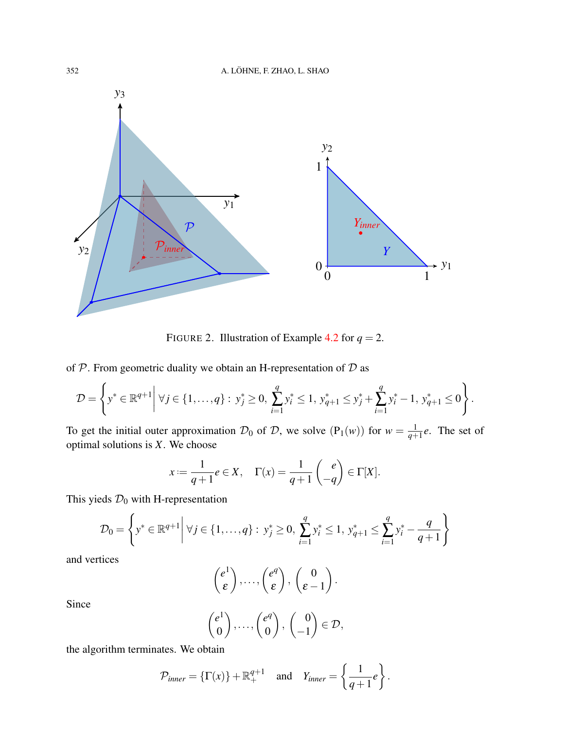

<span id="page-11-0"></span>FIGURE 2. Illustration of Example [4.2](#page-10-2) for  $q = 2$ .

of  $P$ . From geometric duality we obtain an H-representation of  $D$  as

$$
\mathcal{D} = \left\{ y^* \in \mathbb{R}^{q+1} \middle| \forall j \in \{1, ..., q\} : y^*_{j} \ge 0, \sum_{i=1}^{q} y^*_{i} \le 1, y^*_{q+1} \le y^*_{j} + \sum_{i=1}^{q} y^*_{i} - 1, y^*_{q+1} \le 0 \right\}.
$$

To get the initial outer approximation  $\mathcal{D}_0$  of  $\mathcal{D}$ , we solve  $(P_1(w))$  for  $w = \frac{1}{q+1}$  $\frac{1}{q+1}e$ . The set of optimal solutions is *X*. We choose

$$
x := \frac{1}{q+1}e \in X, \quad \Gamma(x) = \frac{1}{q+1} \begin{pmatrix} e \\ -q \end{pmatrix} \in \Gamma[X].
$$

This yieds  $\mathcal{D}_0$  with H-representation

$$
\mathcal{D}_0 = \left\{ y^* \in \mathbb{R}^{q+1} \middle| \ \forall j \in \{1, ..., q\} : y^*_{j} \ge 0, \ \sum_{i=1}^q y^*_{i} \le 1, \ y^*_{q+1} \le \sum_{i=1}^q y^*_{i} - \frac{q}{q+1} \right\}
$$

and vertices

$$
\begin{pmatrix} e^1 \\ \varepsilon \end{pmatrix}, \ldots, \begin{pmatrix} e^q \\ \varepsilon \end{pmatrix}, \begin{pmatrix} 0 \\ \varepsilon - 1 \end{pmatrix}.
$$

Since

$$
\begin{pmatrix} e^1 \\ 0 \end{pmatrix}, \dots, \begin{pmatrix} e^q \\ 0 \end{pmatrix}, \begin{pmatrix} 0 \\ -1 \end{pmatrix} \in \mathcal{D},
$$

the algorithm terminates. We obtain

$$
\mathcal{P}_{inner} = \{\Gamma(x)\} + \mathbb{R}^{q+1}_+ \quad \text{and} \quad Y_{inner} = \left\{\frac{1}{q+1}e\right\}.
$$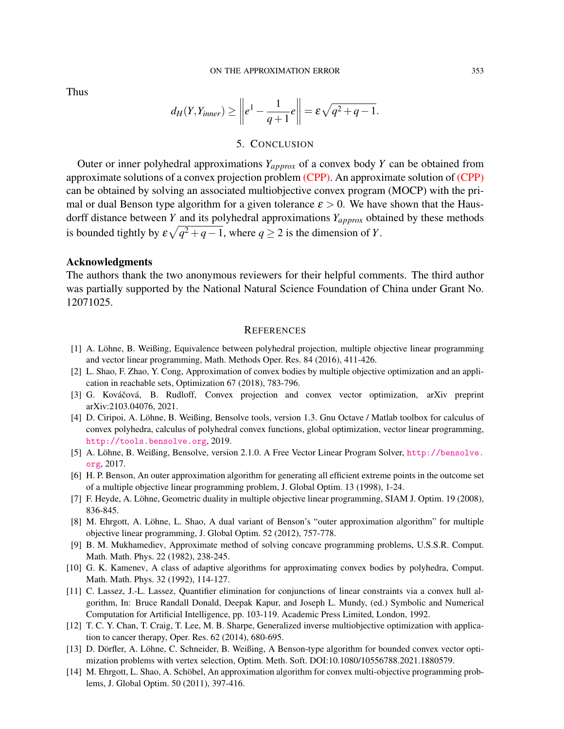Thus

$$
d_H(Y,Y_{inner}) \geq \left\|e^1 - \frac{1}{q+1}e\right\| = \varepsilon\sqrt{q^2+q-1}.
$$

### 5. CONCLUSION

<span id="page-12-12"></span>Outer or inner polyhedral approximations *Yapprox* of a convex body *Y* can be obtained from approximate solutions of a convex projection problem [\(CPP\).](#page-0-0) An approximate solution of [\(CPP\)](#page-0-0) can be obtained by solving an associated multiobjective convex program (MOCP) with the primal or dual Benson type algorithm for a given tolerance  $\varepsilon > 0$ . We have shown that the Hausdorff distance between *Y* and its polyhedral approximations *Yapprox* obtained by these methods is bounded tightly by  $\varepsilon \sqrt{q^2 + q - 1}$ , where  $q \ge 2$  is the dimension of *Y*.

#### Acknowledgments

The authors thank the two anonymous reviewers for their helpful comments. The third author was partially supported by the National Natural Science Foundation of China under Grant No. 12071025.

#### **REFERENCES**

- <span id="page-12-0"></span>[1] A. Löhne, B. Weißing, Equivalence between polyhedral projection, multiple objective linear programming and vector linear programming, Math. Methods Oper. Res. 84 (2016), 411-426.
- <span id="page-12-1"></span>[2] L. Shao, F. Zhao, Y. Cong, Approximation of convex bodies by multiple objective optimization and an application in reachable sets, Optimization 67 (2018), 783-796.
- <span id="page-12-2"></span>[3] G. Kováčová, B. Rudloff, Convex projection and convex vector optimization, arXiv preprint arXiv:2103.04076, 2021.
- <span id="page-12-3"></span>[4] D. Ciripoi, A. Löhne, B. Weißing, Bensolve tools, version 1.3. Gnu Octave / Matlab toolbox for calculus of convex polyhedra, calculus of polyhedral convex functions, global optimization, vector linear programming, <http://tools.bensolve.org>, 2019.
- <span id="page-12-4"></span>[5] A. Löhne, B. Weißing, Bensolve, version 2.1.0. A Free Vector Linear Program Solver, [http://bensolve.](http://bensolve.org) [org](http://bensolve.org), 2017.
- <span id="page-12-5"></span>[6] H. P. Benson, An outer approximation algorithm for generating all efficient extreme points in the outcome set of a multiple objective linear programming problem, J. Global Optim. 13 (1998), 1-24.
- <span id="page-12-6"></span>[7] F. Heyde, A. Löhne, Geometric duality in multiple objective linear programming, SIAM J. Optim. 19 (2008), 836-845.
- <span id="page-12-7"></span>[8] M. Ehrgott, A. Löhne, L. Shao, A dual variant of Benson's "outer approximation algorithm" for multiple objective linear programming, J. Global Optim. 52 (2012), 757-778.
- <span id="page-12-8"></span>[9] B. M. Mukhamediev, Approximate method of solving concave programming problems, U.S.S.R. Comput. Math. Math. Phys. 22 (1982), 238-245.
- <span id="page-12-9"></span>[10] G. K. Kamenev, A class of adaptive algorithms for approximating convex bodies by polyhedra, Comput. Math. Math. Phys. 32 (1992), 114-127.
- <span id="page-12-10"></span>[11] C. Lassez, J.-L. Lassez, Quantifier elimination for conjunctions of linear constraints via a convex hull algorithm, In: Bruce Randall Donald, Deepak Kapur, and Joseph L. Mundy, (ed.) Symbolic and Numerical Computation for Artificial Intelligence, pp. 103-119. Academic Press Limited, London, 1992.
- <span id="page-12-11"></span>[12] T. C. Y. Chan, T. Craig, T. Lee, M. B. Sharpe, Generalized inverse multiobjective optimization with application to cancer therapy, Oper. Res. 62 (2014), 680-695.
- <span id="page-12-13"></span>[13] D. Dörfler, A. Löhne, C. Schneider, B. Weißing, A Benson-type algorithm for bounded convex vector optimization problems with vertex selection, Optim. Meth. Soft. DOI:10.1080/10556788.2021.1880579.
- [14] M. Ehrgott, L. Shao, A. Schöbel, An approximation algorithm for convex multi-objective programming problems, J. Global Optim. 50 (2011), 397-416.